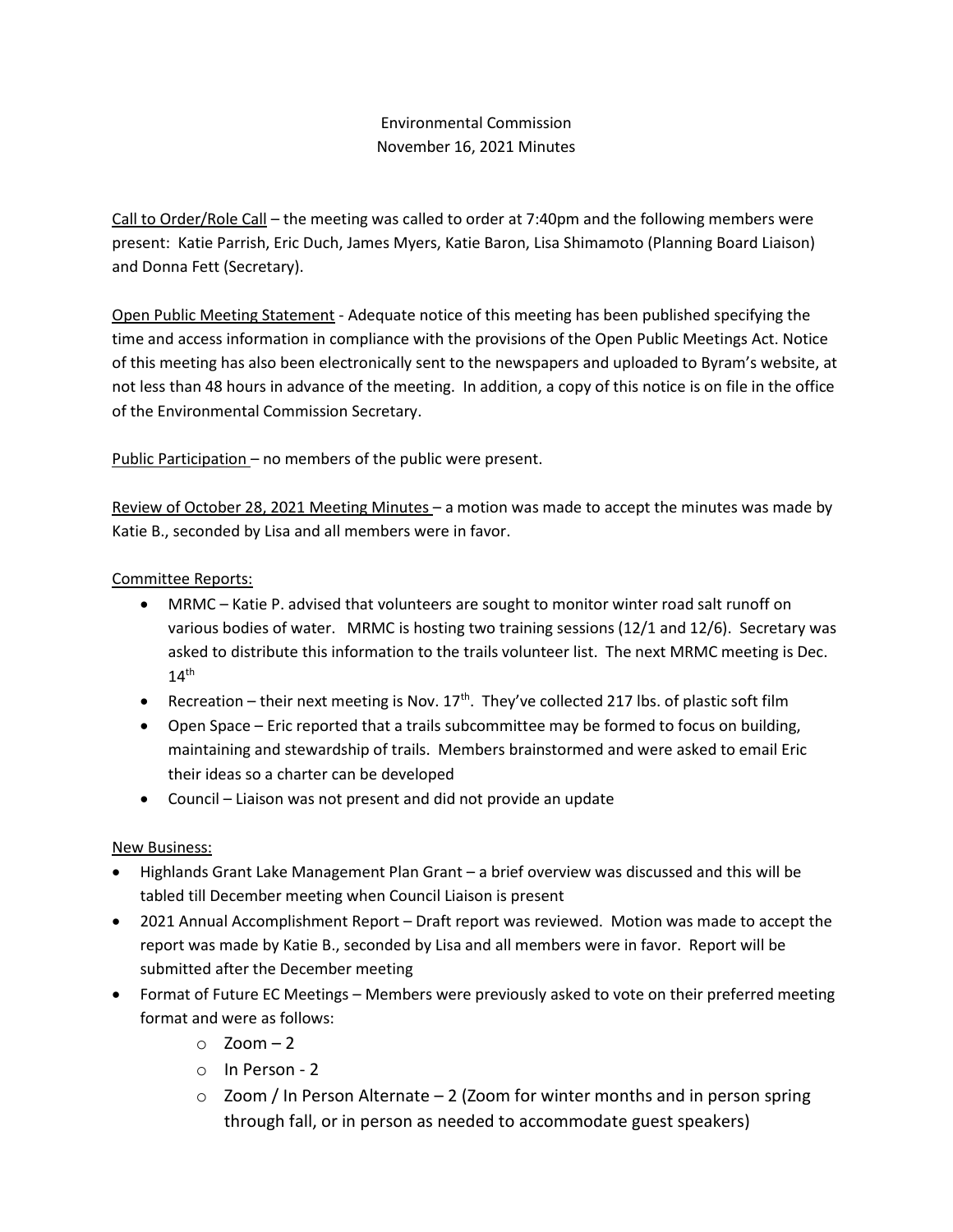# Environmental Commission November 16, 2021 Minutes

Call to Order/Role Call – the meeting was called to order at 7:40pm and the following members were present: Katie Parrish, Eric Duch, James Myers, Katie Baron, Lisa Shimamoto (Planning Board Liaison) and Donna Fett (Secretary).

Open Public Meeting Statement - Adequate notice of this meeting has been published specifying the time and access information in compliance with the provisions of the Open Public Meetings Act. Notice of this meeting has also been electronically sent to the newspapers and uploaded to Byram's website, at not less than 48 hours in advance of the meeting. In addition, a copy of this notice is on file in the office of the Environmental Commission Secretary.

Public Participation – no members of the public were present.

Review of October 28, 2021 Meeting Minutes – a motion was made to accept the minutes was made by Katie B., seconded by Lisa and all members were in favor.

## Committee Reports:

- MRMC Katie P. advised that volunteers are sought to monitor winter road salt runoff on various bodies of water. MRMC is hosting two training sessions (12/1 and 12/6). Secretary was asked to distribute this information to the trails volunteer list. The next MRMC meeting is Dec.  $14<sup>th</sup>$
- Recreation their next meeting is Nov.  $17<sup>th</sup>$ . They've collected 217 lbs. of plastic soft film
- Open Space Eric reported that a trails subcommittee may be formed to focus on building, maintaining and stewardship of trails. Members brainstormed and were asked to email Eric their ideas so a charter can be developed
- Council Liaison was not present and did not provide an update

## New Business:

- Highlands Grant Lake Management Plan Grant a brief overview was discussed and this will be tabled till December meeting when Council Liaison is present
- 2021 Annual Accomplishment Report Draft report was reviewed. Motion was made to accept the report was made by Katie B., seconded by Lisa and all members were in favor. Report will be submitted after the December meeting
- Format of Future EC Meetings Members were previously asked to vote on their preferred meeting format and were as follows:
	- $\circ$  Zoom 2
	- o In Person 2
	- $\circ$  Zoom / In Person Alternate 2 (Zoom for winter months and in person spring through fall, or in person as needed to accommodate guest speakers)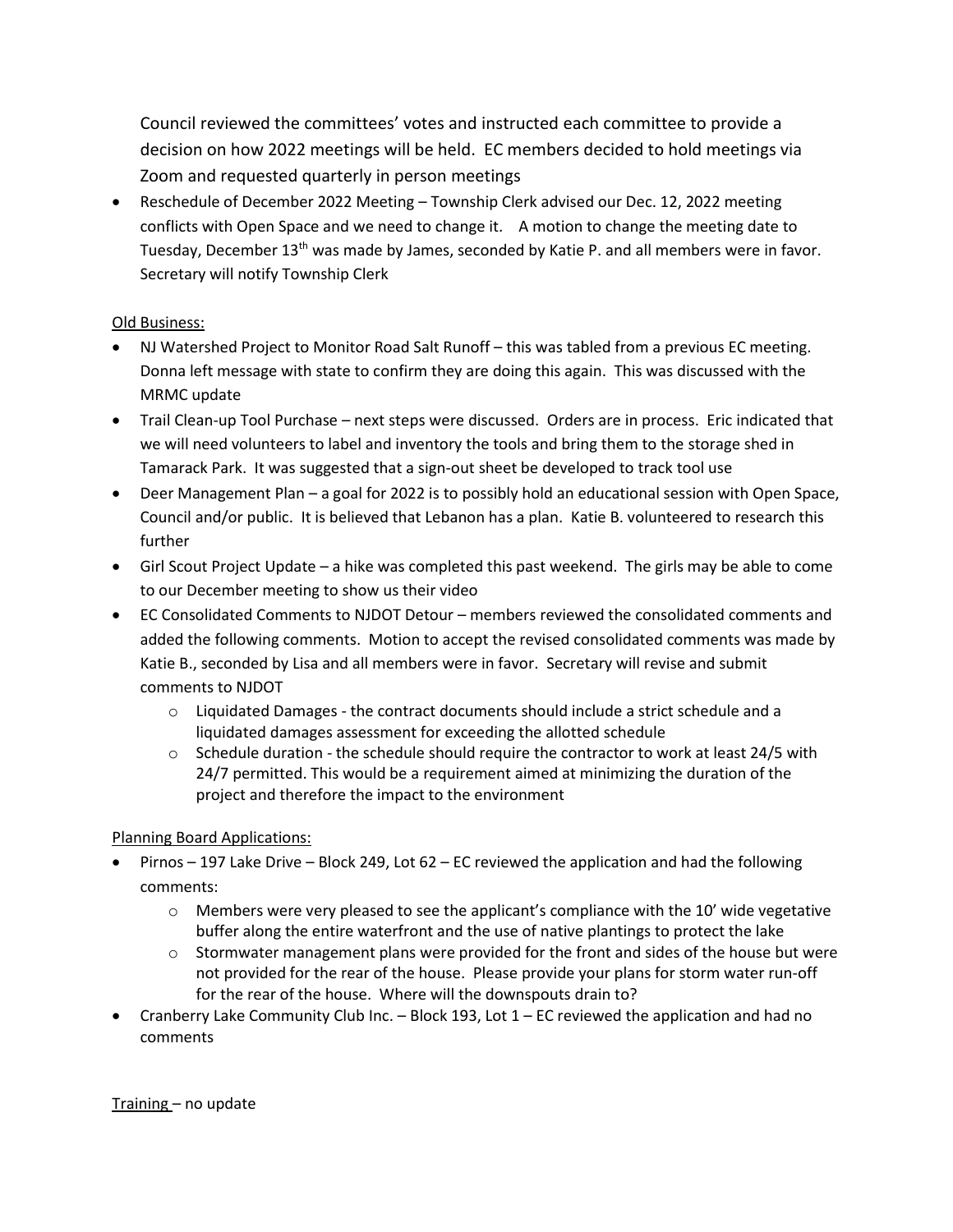Council reviewed the committees' votes and instructed each committee to provide a decision on how 2022 meetings will be held. EC members decided to hold meetings via Zoom and requested quarterly in person meetings

• Reschedule of December 2022 Meeting – Township Clerk advised our Dec. 12, 2022 meeting conflicts with Open Space and we need to change it. A motion to change the meeting date to Tuesday, December 13<sup>th</sup> was made by James, seconded by Katie P. and all members were in favor. Secretary will notify Township Clerk

## Old Business:

- NJ Watershed Project to Monitor Road Salt Runoff this was tabled from a previous EC meeting. Donna left message with state to confirm they are doing this again. This was discussed with the MRMC update
- Trail Clean-up Tool Purchase next steps were discussed. Orders are in process. Eric indicated that we will need volunteers to label and inventory the tools and bring them to the storage shed in Tamarack Park. It was suggested that a sign-out sheet be developed to track tool use
- Deer Management Plan a goal for 2022 is to possibly hold an educational session with Open Space, Council and/or public. It is believed that Lebanon has a plan. Katie B. volunteered to research this further
- Girl Scout Project Update a hike was completed this past weekend. The girls may be able to come to our December meeting to show us their video
- EC Consolidated Comments to NJDOT Detour members reviewed the consolidated comments and added the following comments. Motion to accept the revised consolidated comments was made by Katie B., seconded by Lisa and all members were in favor. Secretary will revise and submit comments to NJDOT
	- $\circ$  Liquidated Damages the contract documents should include a strict schedule and a liquidated damages assessment for exceeding the allotted schedule
	- $\circ$  Schedule duration the schedule should require the contractor to work at least 24/5 with 24/7 permitted. This would be a requirement aimed at minimizing the duration of the project and therefore the impact to the environment

## Planning Board Applications:

- Pirnos 197 Lake Drive Block 249, Lot 62 EC reviewed the application and had the following comments:
	- $\circ$  Members were very pleased to see the applicant's compliance with the 10' wide vegetative buffer along the entire waterfront and the use of native plantings to protect the lake
	- o Stormwater management plans were provided for the front and sides of the house but were not provided for the rear of the house. Please provide your plans for storm water run-off for the rear of the house. Where will the downspouts drain to?
- Cranberry Lake Community Club Inc. Block 193, Lot  $1$  EC reviewed the application and had no comments

Training – no update